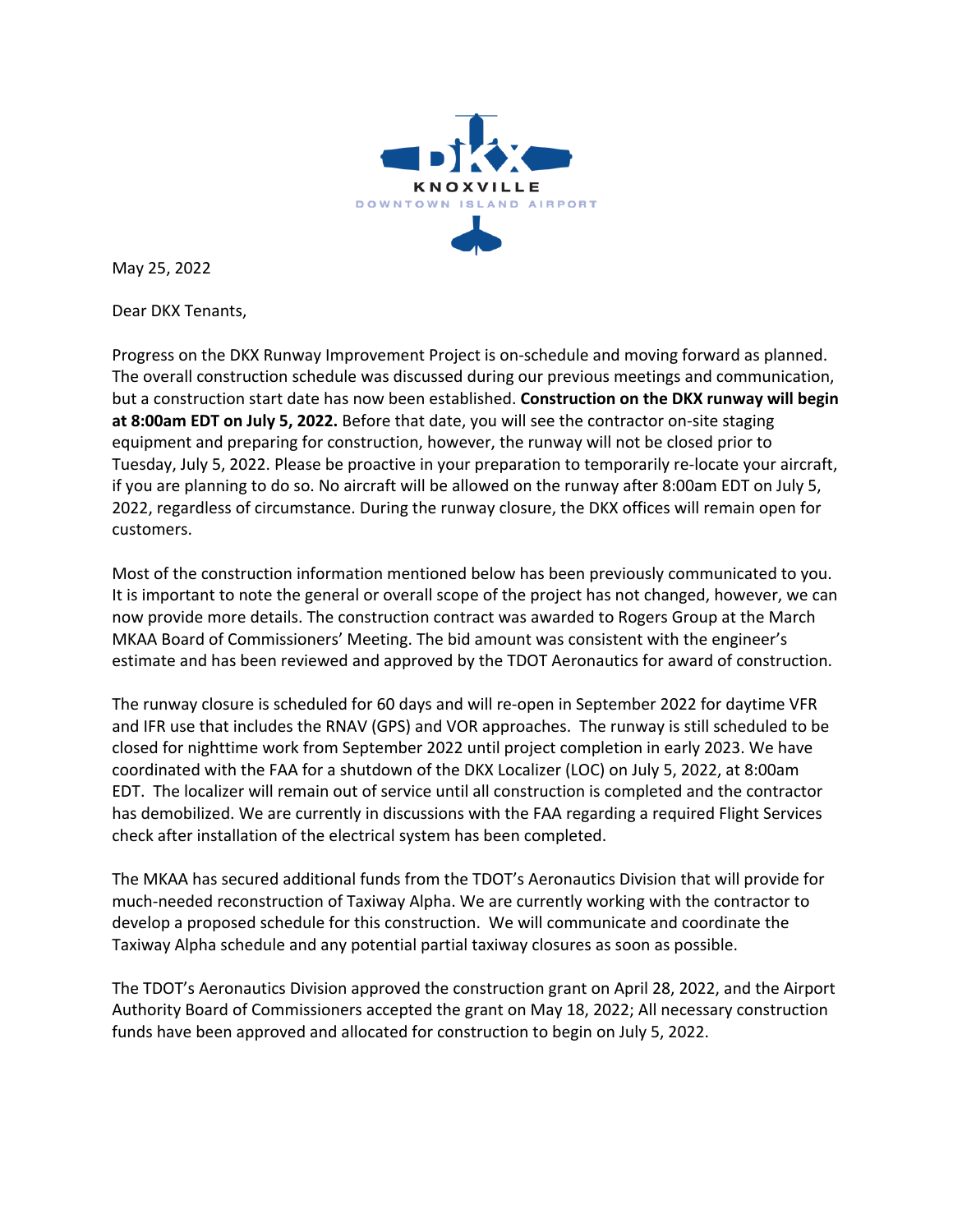

May 25, 2022

Dear DKX Tenants,

Progress on the DKX Runway Improvement Project is on-schedule and moving forward as planned. The overall construction schedule was discussed during our previous meetings and communication, but a construction start date has now been established. **Construction on the DKX runway will begin at 8:00am EDT on July 5, 2022.** Before that date, you will see the contractor on-site staging equipment and preparing for construction, however, the runway will not be closed prior to Tuesday, July 5, 2022. Please be proactive in your preparation to temporarily re-locate your aircraft, if you are planning to do so. No aircraft will be allowed on the runway after 8:00am EDT on July 5, 2022, regardless of circumstance. During the runway closure, the DKX offices will remain open for customers.

Most of the construction information mentioned below has been previously communicated to you. It is important to note the general or overall scope of the project has not changed, however, we can now provide more details. The construction contract was awarded to Rogers Group at the March MKAA Board of Commissioners' Meeting. The bid amount was consistent with the engineer's estimate and has been reviewed and approved by the TDOT Aeronautics for award of construction.

The runway closure is scheduled for 60 days and will re-open in September 2022 for daytime VFR and IFR use that includes the RNAV (GPS) and VOR approaches. The runway is still scheduled to be closed for nighttime work from September 2022 until project completion in early 2023. We have coordinated with the FAA for a shutdown of the DKX Localizer (LOC) on July 5, 2022, at 8:00am EDT. The localizer will remain out of service until all construction is completed and the contractor has demobilized. We are currently in discussions with the FAA regarding a required Flight Services check after installation of the electrical system has been completed.

The MKAA has secured additional funds from the TDOT's Aeronautics Division that will provide for much-needed reconstruction of Taxiway Alpha. We are currently working with the contractor to develop a proposed schedule for this construction. We will communicate and coordinate the Taxiway Alpha schedule and any potential partial taxiway closures as soon as possible.

The TDOT's Aeronautics Division approved the construction grant on April 28, 2022, and the Airport Authority Board of Commissioners accepted the grant on May 18, 2022; All necessary construction funds have been approved and allocated for construction to begin on July 5, 2022.